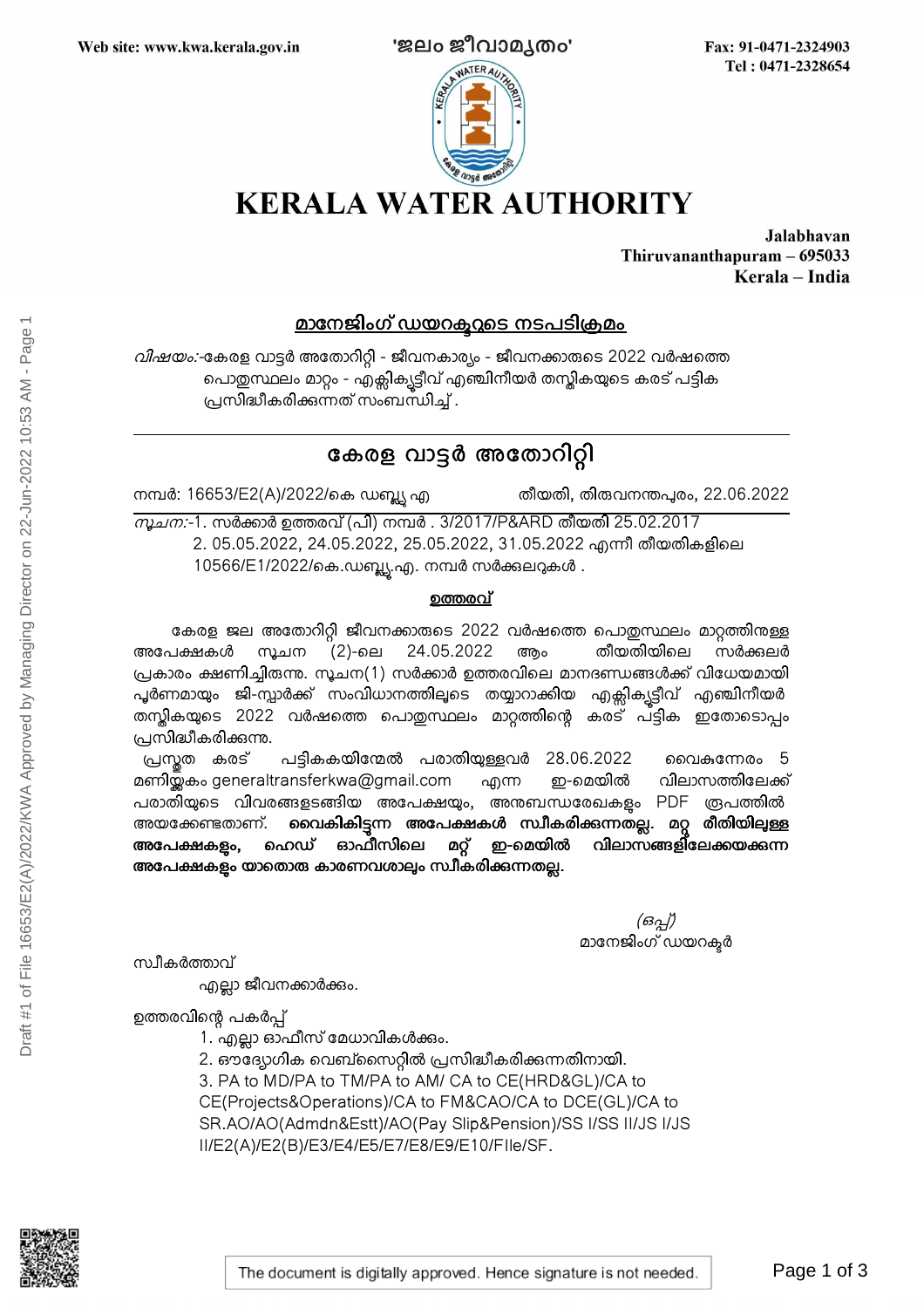

Fax: 91-0471-2324903 Tel: 0471-2328654

**KERALA WATER AUTHORITY** 

Jalabhavan Thiruvananthapuram - 695033 Kerala - India

## <u>മാനേജിംഗ് ഡയറക്ടറുടെ നടപടിക്രമം</u>

*വിഷയം:-*കേരള വാട്ടർ അതോറിറ്റി - ജീവനകാര്യം - ജീവനക്കാരുടെ 2022 വർഷത്തെ പൊതുസ്ഥലം മാറ്റം - എക്സിക്യട്ടീവ് എഞ്ചിനീയർ തസ്തികയുടെ കരട് പട്ടിക പ്രസിദ്ധീകരിക്കന്നത് സംബന്ധിച്ച് .

# കേരള വാട്ടർ അതോറിറ്റി

നമ്പർ: 16653/E2(A)/2022/കെ ഡബ്ല്യ എ

തീയതി, തി**രുവനന്തപുരം, 22.06.2022** 

*സൂചന:*-1. സർക്കാർ ഉത്തരവ് (പി) നമ്പർ . 3/2017/P&ARD തീയതി 25.02.2017 2. 05.05.2022, 24.05.2022, 25.05.2022, 31.05.2022 എന്നീ തീയതികളിലെ 10566/E1/2022/കെ.ഡബ്ല്യു.എ. നമ്പർ സർക്കുലറുകൾ .

### ഉത്തരവ്

കേരള ജല അതോറിറ്റി ജീവനക്കാരുടെ 2022 വർഷത്തെ പൊതുസ്ഥലം മാറ്റത്തിനുള്ള അപേക്ഷകൾ സൂചന (2)-ലെ 24.05.2022 ആം തീയതിയിലെ സർക്കലർ പ്രകാരം ക്ഷണിച്ചിരുന്നു. സൂചന(1) സർക്കാർ ഉത്തരവിലെ മാനദണ്ഡങ്ങൾക്ക് വിധേയമായി പൂർണമായും ജി-സ്പാർക്ക് സംവിധാനത്തിലൂടെ തയ്യാറാക്കിയ എക്ലിക്<del>പ</del>ട്ടീവ് എഞ്ചിനീയർ .തസ്തികയുടെ 2022 വർഷത്തെ പൊതുസ്ഥലം മാറ്റത്തിന്റെ കരട് പ്ട്ടിക ഇതോടൊപ്പം പ്രസിദ്ധീകരിക്കുന്നു.  $\begin{array}{ll} \textbf{2D4CDBalo} & \textbf{2D4O0} \textbf{2Q} \textbf{0} \textbf{5Q} \textbf{0} \textbf{1} \textbf{2Q} \textbf{0} \textbf{1} \textbf{1} \textbf{2Q} \textbf{3Q} \textbf{1} \textbf{1} \textbf{2Q} \textbf{3Q} \textbf{1} \textbf{3Q} \textbf{1} \textbf{3Q} \textbf{1} \textbf{1} \textbf{2Q} \textbf{1} \textbf{3Q} \textbf{1} \textbf{1} \textbf{2Q} \textbf{1} \textbf{3Q} \text$ 

പ്രസ്തത കരട് പട്ടികകയിന്മേൽ പരാതിയുള്ളവർ 28.06.2022 വൈകന്നേരം 5<br>ബിയ്ലകം generaltransferkwa@gmail.com എന്ന ഇ-മെയിൽ വിലാസത്തിലേക്ക് മണിയ്ക്കം generaltransferkwa@gmail.com എന്ന ഇ-മെയിൽ വിലാസത്തിലേക്ക് പരാതിയുടെ വിവരങ്ങളടങ്ങിയ അപേക്ഷയും, അനുബന്ധരേഖകളും PDF രൂപത്തിൽ അയക്കേണ്ടതാണ്. <mark>വൈകികിട്ടുന്ന അപേക്ഷകൾ സ്ഥീകരിക്കന്നതല്ല. മറ്റ രീതിയിലുള്ള</mark><br>അപേക്ഷകളം. ഹെഡ് ഓഫീസിലെ മറ്റ് ഇ-മെയിൽ വിലാസങ്ങളിലേക്കയക്കന്ന അപേക്ഷകളം, ഹെഡ് ഓഫീസിലെ മറ്റ് ഇ-മെയിൽ വിലാസങ്ങളിലേക്കയക്കന്ന അപേക്ഷകളം യാതൊരു കാരണവശാലും സ്വീകരിക്കന്നതല്ല.

> (ഒപ്പ്) മാനേജിംഗ് ഡയറക്ടർ

സ്വീകർത്താവ്

എല്ലാ ജീവനക്കാർക്കും.

ഉത്തരവിന്റെ പകർപ്പ്

- 1. എല്ലാ ഓഫീസ് മേധാവികൾക്കം.
- 2. ഔദ്യോഗിക വെബ്സൈറ്റിൽ പ്രസിദ്ധീകരിക്കുന്നതിനായി.

3. PA to MD/PA to TM/PA to AM/ CA to CE(HRD&GL)/CA to

CE(Projects&Operations)/CA to FM&CAO/CA to DCE(GL)/CA to

SR.AO/AO(Admdn&Estt)/AO(Pay Slip&Pension)/SS I/SS II/JS I/JS

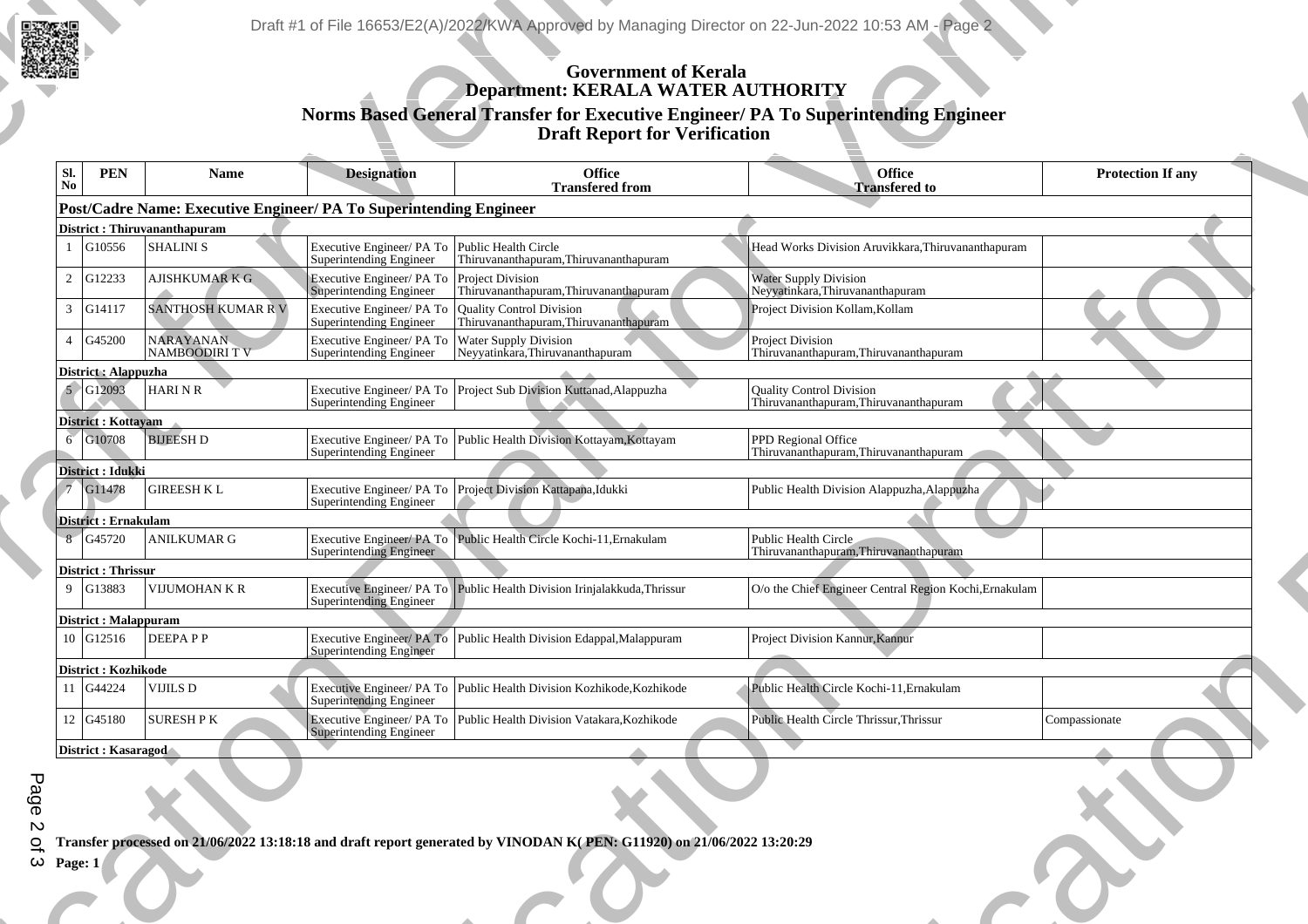

| <b>DESCRIPTION</b><br>Draft #1 of File 16653/E2(A)/2022/KWA Approved by Managing Director on 22-Jun-2022 10:53 AM - Page 2<br><b>Example 18 Government of Kerala</b><br><b>Example 2 Department: KERALA WATER AUTHORITY</b><br>Norms Based General Transfer for Executive Engineer/ PA To Superintending Engineer<br>Draft Report for Verification<br>$\begin{array}{ c c c }\n\hline\n\text{SI.} & \text{PEN} \\ \hline\n\text{No} & & \n\end{array}$<br><b>Protection If any</b><br>Name<br>Office<br>Transfered to<br><b>Designation</b><br>Office<br>Transfered from<br>$\frac{1}{2}$<br>$\sim$<br>Post/Cadre Name: Executive Engineer/ PA To Superintending Engineer<br>District : Thiruvananthapuram<br>1 G10556 SHALINI S<br>1 G10556 SHALINI S<br>2 G12233 AJISHKUMAR K G Executive Engineer PA To Public Health Circle<br>2 G12233 AJISHKUMAR K G Executive Engineer PA To Project Division<br>Head Works Division Aruvikkara, Thiruvananthapuram<br><u>the contract of the contract of the contract of the contract of the contract of the contract of the contract of the contract of the contract of the contract of the contract of the contract of the contract of the contract </u><br>$\sim$<br>Water Supply Division<br>Superintending Engineer Thiruvananthapuram, Thiruvananthapuram Neyyatinkara, Thiruvananthapuram<br>$\overbrace{\hspace{2.5cm}}$<br>3 G14117 SANTHOSH KUMAR R V Executive Engineer/ PA To Quality Control Division<br>Project Division Kollam, Kollam<br>$\begin{tabular}{c} \quad \quad & \quad \quad & \quad \quad \\ \quad \quad & \quad \quad & \quad \quad \\ \begin{tabular}{c} \quad \quad & \quad \quad \\ \quad \quad & \quad \quad \\ \quad \quad & \quad \quad \\ \quad \quad & \quad \quad \\ \quad \quad & \quad \quad \\ \quad \quad & \quad \quad \\ \quad \quad & \quad \quad \\ \quad \quad & \quad \quad \\ \quad \quad & \quad \quad \\ \quad \quad & \quad \quad \\ \quad \quad & \quad \quad \\ \quad \quad & \quad \quad \\ \quad \quad & \quad \quad \\ \quad \quad & \quad \quad \\ \quad \quad & \quad \quad \\ \quad \quad & \quad \quad \\ \quad \quad & \quad \quad \\ \quad \quad$<br><b>STATISTICS</b> | FRAME SUPERINTENT AND SUPERINTENT SUPERINTENT SUPERINTENT SUPERINTENT SUPERINTENT SUPERINTENT SUPERINTENT SUPERINTENT SUPERINTENT SUPERINTENT SUPERINTENT SUPERINTENT SUPERINTENT SUPERINTENT SUPERINTENT SUPERINTENT SUPERINT<br><u> a serie de la construcción de la construcción de la construcción de la construcción de la construcción de la c</u><br>District : Alappuzha<br>5 G12093 HARI N R<br>Executive Engineer/ PA To Project Sub Division Kuttanad, Alappuzha<br>Superintending Engineer<br><u> The Communication of the Communication of the Communication of the Communication of the Communication of the Communication of the Communication of the Communication of the Communication of the Communication of the Commun</u><br>Quality Control Division<br>Thiruvananthapuram, Thiruvananthapuram<br>$\begin{tabular}{c} \multicolumn{1}{c} {\textbf{1}} & \multicolumn{1}{c} {\textbf{1}} & \multicolumn{1}{c} {\textbf{1}} \\ \multicolumn{1}{c} {\textbf{1}} & \multicolumn{1}{c} {\textbf{1}} & \multicolumn{1}{c} {\textbf{1}} \\ \multicolumn{1}{c} {\textbf{1}} & \multicolumn{1}{c} {\textbf{1}} & \multicolumn{1}{c} {\textbf{1}} \\ \multicolumn{1}{c} {\textbf{1}} & \multicolumn{1}{c} {\textbf{1}} & \multicolumn{1}{c} {\textbf{1}} \\ \multicolumn{1}{c} {\textbf{1}} & \multicolumn$<br>District : Kottayam<br>6 G10708 BIJEESH D<br>$\overline{\phantom{a}}$ , and the set of $\overline{\phantom{a}}$<br>Executive Engineer/PA To Public Health Division Kottayam, Kottayam<br>and the state of the state of the state of<br>PPD Regional Office<br>Thiruvananthapuram, Thiruvananthapuram<br>District : Idukki<br>7 G11478 GIREESH K L<br><u> The Second Company of the Second Company of the Second Company of the Second Company of the Second Company of the Second Company of the Second Company of the Second Company of the Second Company of the Second Company of </u><br>Executive Engineer/ PA To Project Division Kattapana, Idukki<br>Public Health Division Alappuzha, Alappuzha<br>Superintending Engineer<br>______<br>District : Ernakulam<br>8 G45720 ANILKUMAR G<br>$\overline{\phantom{a}}$<br>$\overline{\phantom{a}}$<br>Executive Engineer/ PA To Public Health Circle Kochi-11, Ernakulam<br>Public Health Circle<br>Thiruvananthapuram, Thiruvananthapuram<br>Superintending Engineer<br>and the control of the<br>District : Thrissur<br><u> Andreas Andreas Andreas Andreas Andreas Andreas Andreas Andreas Andreas Andreas Andreas Andreas Andreas Andreas Andreas Andreas Andreas Andreas Andreas Andreas Andreas Andreas Andreas Andreas Andreas Andreas Andreas Andr</u><br>Executive Engineer/ PA To Public Health Division Irinjalakkuda, Thrissur<br>O/o the Chief Engineer Central Region Kochi, Ernakulam<br>Superintending Engineer<br>$\boxed{\textbf{District}: \textbf{Malappuram}\ \overline{10\ \text{G}12516\ \text{DEEPA P P}} }$<br>Executive Engineer/ PA To Public Health Division Edappal, Malappuram Superintending Engineer<br>Project Division Kannur, Kannur<br>$\begin{array}{ l l }\n \hline \textbf{Distriet}: \textbf{Kozhikode} & \textbf{0.016} \\  \hline \hline \textbf{11} & \textbf{G44224} & \textbf{VIJILS D}\n \hline \end{array}$<br>Executive Engineer/PA To Public Health Division Kozhikode, Kozhikode<br>Public Health Circle Kochi-11, Ernakulam<br>Superintending Engineer<br>Executive Engineer/ PA To Public Health Division Vatakara, Kozhikode<br><u> La Carlo de la Carlo de la Carlo de la Carlo de la Carlo de la Carlo de la Carlo de la Carlo de la Carlo de la Carlo de la Carlo de la Carlo de la Carlo de la Carlo de la Carlo de la Carlo de la Carlo de la Carlo de la C</u><br>  12   G45180   SURESH P K<br>Public Health Circle Thrissur, Thrissur<br>Compassionate<br>Superintending Engineer<br>$\overline{\phantom{a}}$<br>District : Kasaragod<br>— <del>—————————</del><br><b>The Contract of the Contract of the Contract of the Contract of the Contract of the Contract of the Contract of the Contract of the Contract of the Contract of the Contract of the Contract of the Contract of the Contract </b><br><b>START</b><br>Q Transfer processed on 21/06/2022 13:18:18 and draft report generated by VINODAN K(PEN: G11920) on 21/06/2022 13:20:29<br>$\omega$ Page: 1 |  |
|------------------------------------------------------------------------------------------------------------------------------------------------------------------------------------------------------------------------------------------------------------------------------------------------------------------------------------------------------------------------------------------------------------------------------------------------------------------------------------------------------------------------------------------------------------------------------------------------------------------------------------------------------------------------------------------------------------------------------------------------------------------------------------------------------------------------------------------------------------------------------------------------------------------------------------------------------------------------------------------------------------------------------------------------------------------------------------------------------------------------------------------------------------------------------------------------------------------------------------------------------------------------------------------------------------------------------------------------------------------------------------------------------------------------------------------------------------------------------------------------------------------------------------------------------------------------------------------------------------------------------------------------------------------------------------------------------------------------------------------------------------------------------------------------------------------------------------------------------------------------------------------------------------------------------------------------------------------------------------------------------------------------------------------------------------------------------------------------------------------------------------------------------------------------------|-------------------------------------------------------------------------------------------------------------------------------------------------------------------------------------------------------------------------------------------------------------------------------------------------------------------------------------------------------------------------------------------------------------------------------------------------------------------------------------------------------------------------------------------------------------------------------------------------------------------------------------------------------------------------------------------------------------------------------------------------------------------------------------------------------------------------------------------------------------------------------------------------------------------------------------------------------------------------------------------------------------------------------------------------------------------------------------------------------------------------------------------------------------------------------------------------------------------------------------------------------------------------------------------------------------------------------------------------------------------------------------------------------------------------------------------------------------------------------------------------------------------------------------------------------------------------------------------------------------------------------------------------------------------------------------------------------------------------------------------------------------------------------------------------------------------------------------------------------------------------------------------------------------------------------------------------------------------------------------------------------------------------------------------------------------------------------------------------------------------------------------------------------------------------------------------------------------------------------------------------------------------------------------------------------------------------------------------------------------------------------------------------------------------------------------------------------------------------------------------------------------------------------------------------------------------------------------------------------------------------------------------------------------------------------------------------------------------------------------------------------------------------------------------------------------------------------------------------------------------------------------------------------------------------------------------------------------------------------------------------------------------------------------------------------------------------------------------------------------------------------------------------------------------------------------------------------------------------------------------------------------------------------------------------------------------------------------------------------------------------------------------------------------------------------------------------------------------------------------------------------------------------------------------------------------------------------------------------------------------------------------------------------------------------------------------------------------------------------------------------------------------------------------------------------------------------------------------------------------------------------------------------------------------------------------------------------------------------------------------------------------------------------------------------------------------------------------------------------------------------------------------------------------------------------------------------------------------------------------------------------------------------------------------------------------------|--|
|                                                                                                                                                                                                                                                                                                                                                                                                                                                                                                                                                                                                                                                                                                                                                                                                                                                                                                                                                                                                                                                                                                                                                                                                                                                                                                                                                                                                                                                                                                                                                                                                                                                                                                                                                                                                                                                                                                                                                                                                                                                                                                                                                                              |                                                                                                                                                                                                                                                                                                                                                                                                                                                                                                                                                                                                                                                                                                                                                                                                                                                                                                                                                                                                                                                                                                                                                                                                                                                                                                                                                                                                                                                                                                                                                                                                                                                                                                                                                                                                                                                                                                                                                                                                                                                                                                                                                                                                                                                                                                                                                                                                                                                                                                                                                                                                                                                                                                                                                                                                                                                                                                                                                                                                                                                                                                                                                                                                                                                                                                                                                                                                                                                                                                                                                                                                                                                                                                                                                                                                                                                                                                                                                                                                                                                                                                                                                                                                                                                                                                                   |  |
|                                                                                                                                                                                                                                                                                                                                                                                                                                                                                                                                                                                                                                                                                                                                                                                                                                                                                                                                                                                                                                                                                                                                                                                                                                                                                                                                                                                                                                                                                                                                                                                                                                                                                                                                                                                                                                                                                                                                                                                                                                                                                                                                                                              |                                                                                                                                                                                                                                                                                                                                                                                                                                                                                                                                                                                                                                                                                                                                                                                                                                                                                                                                                                                                                                                                                                                                                                                                                                                                                                                                                                                                                                                                                                                                                                                                                                                                                                                                                                                                                                                                                                                                                                                                                                                                                                                                                                                                                                                                                                                                                                                                                                                                                                                                                                                                                                                                                                                                                                                                                                                                                                                                                                                                                                                                                                                                                                                                                                                                                                                                                                                                                                                                                                                                                                                                                                                                                                                                                                                                                                                                                                                                                                                                                                                                                                                                                                                                                                                                                                                   |  |
|                                                                                                                                                                                                                                                                                                                                                                                                                                                                                                                                                                                                                                                                                                                                                                                                                                                                                                                                                                                                                                                                                                                                                                                                                                                                                                                                                                                                                                                                                                                                                                                                                                                                                                                                                                                                                                                                                                                                                                                                                                                                                                                                                                              |                                                                                                                                                                                                                                                                                                                                                                                                                                                                                                                                                                                                                                                                                                                                                                                                                                                                                                                                                                                                                                                                                                                                                                                                                                                                                                                                                                                                                                                                                                                                                                                                                                                                                                                                                                                                                                                                                                                                                                                                                                                                                                                                                                                                                                                                                                                                                                                                                                                                                                                                                                                                                                                                                                                                                                                                                                                                                                                                                                                                                                                                                                                                                                                                                                                                                                                                                                                                                                                                                                                                                                                                                                                                                                                                                                                                                                                                                                                                                                                                                                                                                                                                                                                                                                                                                                                   |  |
|                                                                                                                                                                                                                                                                                                                                                                                                                                                                                                                                                                                                                                                                                                                                                                                                                                                                                                                                                                                                                                                                                                                                                                                                                                                                                                                                                                                                                                                                                                                                                                                                                                                                                                                                                                                                                                                                                                                                                                                                                                                                                                                                                                              |                                                                                                                                                                                                                                                                                                                                                                                                                                                                                                                                                                                                                                                                                                                                                                                                                                                                                                                                                                                                                                                                                                                                                                                                                                                                                                                                                                                                                                                                                                                                                                                                                                                                                                                                                                                                                                                                                                                                                                                                                                                                                                                                                                                                                                                                                                                                                                                                                                                                                                                                                                                                                                                                                                                                                                                                                                                                                                                                                                                                                                                                                                                                                                                                                                                                                                                                                                                                                                                                                                                                                                                                                                                                                                                                                                                                                                                                                                                                                                                                                                                                                                                                                                                                                                                                                                                   |  |
|                                                                                                                                                                                                                                                                                                                                                                                                                                                                                                                                                                                                                                                                                                                                                                                                                                                                                                                                                                                                                                                                                                                                                                                                                                                                                                                                                                                                                                                                                                                                                                                                                                                                                                                                                                                                                                                                                                                                                                                                                                                                                                                                                                              |                                                                                                                                                                                                                                                                                                                                                                                                                                                                                                                                                                                                                                                                                                                                                                                                                                                                                                                                                                                                                                                                                                                                                                                                                                                                                                                                                                                                                                                                                                                                                                                                                                                                                                                                                                                                                                                                                                                                                                                                                                                                                                                                                                                                                                                                                                                                                                                                                                                                                                                                                                                                                                                                                                                                                                                                                                                                                                                                                                                                                                                                                                                                                                                                                                                                                                                                                                                                                                                                                                                                                                                                                                                                                                                                                                                                                                                                                                                                                                                                                                                                                                                                                                                                                                                                                                                   |  |
|                                                                                                                                                                                                                                                                                                                                                                                                                                                                                                                                                                                                                                                                                                                                                                                                                                                                                                                                                                                                                                                                                                                                                                                                                                                                                                                                                                                                                                                                                                                                                                                                                                                                                                                                                                                                                                                                                                                                                                                                                                                                                                                                                                              |                                                                                                                                                                                                                                                                                                                                                                                                                                                                                                                                                                                                                                                                                                                                                                                                                                                                                                                                                                                                                                                                                                                                                                                                                                                                                                                                                                                                                                                                                                                                                                                                                                                                                                                                                                                                                                                                                                                                                                                                                                                                                                                                                                                                                                                                                                                                                                                                                                                                                                                                                                                                                                                                                                                                                                                                                                                                                                                                                                                                                                                                                                                                                                                                                                                                                                                                                                                                                                                                                                                                                                                                                                                                                                                                                                                                                                                                                                                                                                                                                                                                                                                                                                                                                                                                                                                   |  |
|                                                                                                                                                                                                                                                                                                                                                                                                                                                                                                                                                                                                                                                                                                                                                                                                                                                                                                                                                                                                                                                                                                                                                                                                                                                                                                                                                                                                                                                                                                                                                                                                                                                                                                                                                                                                                                                                                                                                                                                                                                                                                                                                                                              |                                                                                                                                                                                                                                                                                                                                                                                                                                                                                                                                                                                                                                                                                                                                                                                                                                                                                                                                                                                                                                                                                                                                                                                                                                                                                                                                                                                                                                                                                                                                                                                                                                                                                                                                                                                                                                                                                                                                                                                                                                                                                                                                                                                                                                                                                                                                                                                                                                                                                                                                                                                                                                                                                                                                                                                                                                                                                                                                                                                                                                                                                                                                                                                                                                                                                                                                                                                                                                                                                                                                                                                                                                                                                                                                                                                                                                                                                                                                                                                                                                                                                                                                                                                                                                                                                                                   |  |
|                                                                                                                                                                                                                                                                                                                                                                                                                                                                                                                                                                                                                                                                                                                                                                                                                                                                                                                                                                                                                                                                                                                                                                                                                                                                                                                                                                                                                                                                                                                                                                                                                                                                                                                                                                                                                                                                                                                                                                                                                                                                                                                                                                              |                                                                                                                                                                                                                                                                                                                                                                                                                                                                                                                                                                                                                                                                                                                                                                                                                                                                                                                                                                                                                                                                                                                                                                                                                                                                                                                                                                                                                                                                                                                                                                                                                                                                                                                                                                                                                                                                                                                                                                                                                                                                                                                                                                                                                                                                                                                                                                                                                                                                                                                                                                                                                                                                                                                                                                                                                                                                                                                                                                                                                                                                                                                                                                                                                                                                                                                                                                                                                                                                                                                                                                                                                                                                                                                                                                                                                                                                                                                                                                                                                                                                                                                                                                                                                                                                                                                   |  |
|                                                                                                                                                                                                                                                                                                                                                                                                                                                                                                                                                                                                                                                                                                                                                                                                                                                                                                                                                                                                                                                                                                                                                                                                                                                                                                                                                                                                                                                                                                                                                                                                                                                                                                                                                                                                                                                                                                                                                                                                                                                                                                                                                                              |                                                                                                                                                                                                                                                                                                                                                                                                                                                                                                                                                                                                                                                                                                                                                                                                                                                                                                                                                                                                                                                                                                                                                                                                                                                                                                                                                                                                                                                                                                                                                                                                                                                                                                                                                                                                                                                                                                                                                                                                                                                                                                                                                                                                                                                                                                                                                                                                                                                                                                                                                                                                                                                                                                                                                                                                                                                                                                                                                                                                                                                                                                                                                                                                                                                                                                                                                                                                                                                                                                                                                                                                                                                                                                                                                                                                                                                                                                                                                                                                                                                                                                                                                                                                                                                                                                                   |  |
|                                                                                                                                                                                                                                                                                                                                                                                                                                                                                                                                                                                                                                                                                                                                                                                                                                                                                                                                                                                                                                                                                                                                                                                                                                                                                                                                                                                                                                                                                                                                                                                                                                                                                                                                                                                                                                                                                                                                                                                                                                                                                                                                                                              |                                                                                                                                                                                                                                                                                                                                                                                                                                                                                                                                                                                                                                                                                                                                                                                                                                                                                                                                                                                                                                                                                                                                                                                                                                                                                                                                                                                                                                                                                                                                                                                                                                                                                                                                                                                                                                                                                                                                                                                                                                                                                                                                                                                                                                                                                                                                                                                                                                                                                                                                                                                                                                                                                                                                                                                                                                                                                                                                                                                                                                                                                                                                                                                                                                                                                                                                                                                                                                                                                                                                                                                                                                                                                                                                                                                                                                                                                                                                                                                                                                                                                                                                                                                                                                                                                                                   |  |
|                                                                                                                                                                                                                                                                                                                                                                                                                                                                                                                                                                                                                                                                                                                                                                                                                                                                                                                                                                                                                                                                                                                                                                                                                                                                                                                                                                                                                                                                                                                                                                                                                                                                                                                                                                                                                                                                                                                                                                                                                                                                                                                                                                              |                                                                                                                                                                                                                                                                                                                                                                                                                                                                                                                                                                                                                                                                                                                                                                                                                                                                                                                                                                                                                                                                                                                                                                                                                                                                                                                                                                                                                                                                                                                                                                                                                                                                                                                                                                                                                                                                                                                                                                                                                                                                                                                                                                                                                                                                                                                                                                                                                                                                                                                                                                                                                                                                                                                                                                                                                                                                                                                                                                                                                                                                                                                                                                                                                                                                                                                                                                                                                                                                                                                                                                                                                                                                                                                                                                                                                                                                                                                                                                                                                                                                                                                                                                                                                                                                                                                   |  |